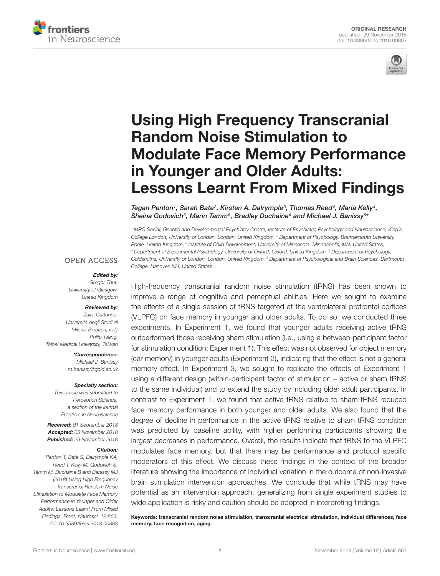



# Using High Frequency Transcranial Random Noise Stimulation to [Modulate Face Memory Performance](https://www.frontiersin.org/articles/10.3389/fnins.2018.00863/full) in Younger and Older Adults: Lessons Learnt From Mixed Findings

[Tegan Penton](http://loop.frontiersin.org/people/623419/overview)<sup>1</sup>, [Sarah Bate](http://loop.frontiersin.org/people/125036/overview)<sup>2</sup>, [Kirsten A. Dalrymple](http://loop.frontiersin.org/people/70811/overview)<sup>3</sup>, [Thomas Reed](http://loop.frontiersin.org/people/609319/overview)<sup>4</sup>, [Maria Kelly](http://loop.frontiersin.org/people/629384/overview)<sup>4</sup>, Sheina Godovich<sup>5</sup>, [Marin Tamm](http://loop.frontiersin.org/people/609350/overview)<sup>5</sup>, [Bradley Duchaine](http://loop.frontiersin.org/people/14562/overview)<sup>6</sup> and [Michael J. Banissy](http://loop.frontiersin.org/people/59248/overview)<sup>5</sup>\*

<sup>1</sup> MRC Social, Genetic and Developmental Psychiatry Centre, Institute of Psychiatry, Psychology and Neuroscience, King's College London, University of London, London, United Kingdom, <sup>2</sup> Department of Psychology, Bournemouth University, Poole, United Kingdom, <sup>3</sup> Institute of Child Development, University of Minnesota, Minneapolis, MN, United States, <sup>4</sup> Department of Experimental Psychology, University of Oxford, Oxford, United Kingdom, <sup>5</sup> Department of Psychology, Goldsmiths, University of London, London, United Kingdom, <sup>6</sup> Department of Psychological and Brain Sciences, Dartmouth College, Hanover, NH, United States

## **OPEN ACCESS**

#### Edited by:

Gregor Thut, University of Glasgow, United Kingdom

#### Reviewed by: Zaira Cattaneo,

Università degli Studi di Milano-Bicocca, Italy Philip Tseng, Taipei Medical University, Taiwan

> \*Correspondence: Michael J. Banissy m.banissy@gold.ac.uk

#### Specialty section:

This article was submitted to Perception Science, a section of the journal Frontiers in Neuroscience

Received: 01 September 2018 Accepted: 05 November 2018 Published: 29 November 2018

#### Citation:

Penton T, Bate S, Dalrymple KA, Reed T, Kelly M, Godovich S, Tamm M, Duchaine B and Banissy MJ (2018) Using High Frequency Transcranial Random Noise Stimulation to Modulate Face Memory Performance in Younger and Older Adults: Lessons Learnt From Mixed Findings. Front. Neurosci. 12:863. doi: [10.3389/fnins.2018.00863](https://doi.org/10.3389/fnins.2018.00863) High-frequency transcranial random noise stimulation (tRNS) has been shown to improve a range of cognitive and perceptual abilities. Here we sought to examine the effects of a single session of tRNS targeted at the ventrolateral prefrontal cortices (VLPFC) on face memory in younger and older adults. To do so, we conducted three experiments. In Experiment 1, we found that younger adults receiving active tRNS outperformed those receiving sham stimulation (i.e., using a between-participant factor for stimulation condition; Experiment 1). This effect was not observed for object memory (car memory) in younger adults (Experiment 2), indicating that the effect is not a general memory effect. In Experiment 3, we sought to replicate the effects of Experiment 1 using a different design (within-participant factor of stimulation – active or sham tRNS to the same individual) and to extend the study by including older adult participants. In contrast to Experiment 1, we found that active tRNS relative to sham tRNS reduced face memory performance in both younger and older adults. We also found that the degree of decline in performance in the active tRNS relative to sham tRNS condition was predicted by baseline ability, with higher performing participants showing the largest decreases in performance. Overall, the results indicate that tRNS to the VLPFC modulates face memory, but that there may be performance and protocol specific moderators of this effect. We discuss these findings in the context of the broader literature showing the importance of individual variation in the outcome of non-invasive brain stimulation intervention approaches. We conclude that while tRNS may have potential as an intervention approach, generalizing from single experiment studies to wide application is risky and caution should be adopted in interpreting findings.

Keywords: transcranial random noise stimulation, transcranial electrical stimulation, individual differences, face memory, face recognition, aging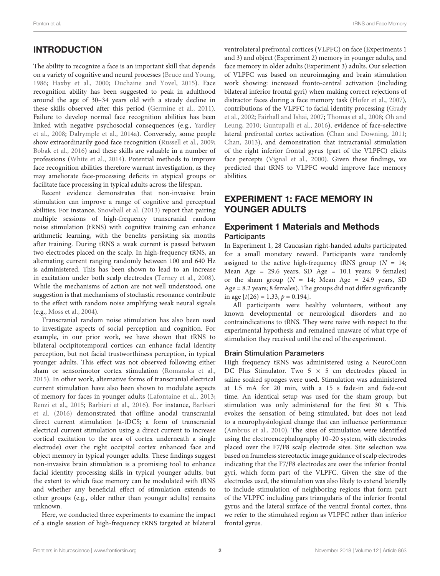# INTRODUCTION

The ability to recognize a face is an important skill that depends on a variety of cognitive and neural processes [\(Bruce and Young,](#page-8-0) [1986;](#page-8-0) [Haxby et al.,](#page-8-1) [2000;](#page-8-1) [Duchaine and Yovel,](#page-8-2) [2015\)](#page-8-2). Face recognition ability has been suggested to peak in adulthood around the age of 30–34 years old with a steady decline in these skills observed after this period [\(Germine et al.,](#page-8-3) [2011\)](#page-8-3). Failure to develop normal face recognition abilities has been linked with negative psychosocial consequences (e.g., [Yardley](#page-9-0) [et al.,](#page-9-0) [2008;](#page-9-0) [Dalrymple et al.,](#page-8-4) [2014a\)](#page-8-4). Conversely, some people show extraordinarily good face recognition [\(Russell et al.,](#page-9-1) [2009;](#page-9-1) [Bobak et al.,](#page-8-5) [2016\)](#page-8-5) and these skills are valuable in a number of professions [\(White et al.,](#page-9-2) [2014\)](#page-9-2). Potential methods to improve face recognition abilities therefore warrant investigation, as they may ameliorate face-processing deficits in atypical groups or facilitate face processing in typical adults across the lifespan.

Recent evidence demonstrates that non-invasive brain stimulation can improve a range of cognitive and perceptual abilities. For instance, [Snowball et al.](#page-9-3) [\(2013\)](#page-9-3) report that pairing multiple sessions of high-frequency transcranial random noise stimulation (tRNS) with cognitive training can enhance arithmetic learning, with the benefits persisting six months after training. During tRNS a weak current is passed between two electrodes placed on the scalp. In high-frequency tRNS, an alternating current ranging randomly between 100 and 640 Hz is administered. This has been shown to lead to an increase in excitation under both scalp electrodes [\(Terney et al.,](#page-9-4) [2008\)](#page-9-4). While the mechanisms of action are not well understood, one suggestion is that mechanisms of stochastic resonance contribute to the effect with random noise amplifying weak neural signals (e.g., [Moss et al.,](#page-8-6) [2004\)](#page-8-6).

Transcranial random noise stimulation has also been used to investigate aspects of social perception and cognition. For example, in our prior work, we have shown that tRNS to bilateral occipitotemporal cortices can enhance facial identity perception, but not facial trustworthiness perception, in typical younger adults. This effect was not observed following either sham or sensorimotor cortex stimulation [\(Romanska et al.,](#page-9-5) [2015\)](#page-9-5). In other work, alternative forms of transcranial electrical current stimulation have also been shown to modulate aspects of memory for faces in younger adults [\(Lafontaine et al.,](#page-8-7) [2013;](#page-8-7) [Renzi et al.,](#page-9-6) [2015;](#page-9-6) [Barbieri et al.,](#page-8-8) [2016\)](#page-8-8). For instance, [Barbieri](#page-8-8) [et al.](#page-8-8) [\(2016\)](#page-8-8) demonstrated that offline anodal transcranial direct current stimulation (a-tDCS; a form of transcranial electrical current stimulation using a direct current to increase cortical excitation to the area of cortex underneath a single electrode) over the right occipital cortex enhanced face and object memory in typical younger adults. These findings suggest non-invasive brain stimulation is a promising tool to enhance facial identity processing skills in typical younger adults, but the extent to which face memory can be modulated with tRNS and whether any beneficial effect of stimulation extends to other groups (e.g., older rather than younger adults) remains unknown.

Here, we conducted three experiments to examine the impact of a single session of high-frequency tRNS targeted at bilateral

ventrolateral prefrontal cortices (VLPFC) on face (Experiments 1 and 3) and object (Experiment 2) memory in younger adults, and face memory in older adults (Experiment 3) adults. Our selection of VLPFC was based on neuroimaging and brain stimulation work showing: increased fronto-central activation (including bilateral inferior frontal gyri) when making correct rejections of distractor faces during a face memory task [\(Hofer et al.,](#page-8-9) [2007\)](#page-8-9), contributions of the VLPFC to facial identity processing [\(Grady](#page-8-10) [et al.,](#page-8-10) [2002;](#page-8-10) [Fairhall and Ishai,](#page-8-11) [2007;](#page-8-11) [Thomas et al.,](#page-9-7) [2008;](#page-9-7) [Oh and](#page-9-8) [Leung,](#page-9-8) [2010;](#page-9-8) [Guntupalli et al.,](#page-8-12) [2016\)](#page-8-12), evidence of face-selective lateral prefrontal cortex activation [\(Chan and Downing,](#page-8-13) [2011;](#page-8-13) [Chan,](#page-8-14) [2013\)](#page-8-14), and demonstration that intracranial stimulation of the right inferior frontal gyrus (part of the VLPFC) elicits face percepts [\(Vignal et al.,](#page-9-9) [2000\)](#page-9-9). Given these findings, we predicted that tRNS to VLPFC would improve face memory abilities.

## EXPERIMENT 1: FACE MEMORY IN YOUNGER ADULTS

## Experiment 1 Materials and Methods **Participants**

In Experiment 1, 28 Caucasian right-handed adults participated for a small monetary reward. Participants were randomly assigned to the active high-frequency tRNS group ( $N = 14$ ; Mean Age =  $29.6$  years, SD Age =  $10.1$  years; 9 females) or the sham group ( $N = 14$ ; Mean Age = 24.9 years, SD Age = 8.2 years; 8 females). The groups did not differ significantly in age  $[t(26) = 1.33, p = 0.194]$ .

All participants were healthy volunteers, without any known developmental or neurological disorders and no contraindications to tRNS. They were naive with respect to the experimental hypothesis and remained unaware of what type of stimulation they received until the end of the experiment.

## Brain Stimulation Parameters

High frequency tRNS was administered using a NeuroConn DC Plus Stimulator. Two  $5 \times 5$  cm electrodes placed in saline soaked sponges were used. Stimulation was administered at 1.5 mA for 20 min, with a 15 s fade-in and fade-out time. An identical setup was used for the sham group, but stimulation was only administered for the first 30 s. This evokes the sensation of being stimulated, but does not lead to a neurophysiological change that can influence performance [\(Ambrus et al.,](#page-8-15) [2010\)](#page-8-15). The sites of stimulation were identified using the electroencephalography 10–20 system, with electrodes placed over the F7/F8 scalp electrode sites. Site selection was based on frameless stereotactic image guidance of scalp electrodes indicating that the F7/F8 electrodes are over the inferior frontal gyri, which form part of the VLPFC. Given the size of the electrodes used, the stimulation was also likely to extend laterally to include stimulation of neighboring regions that form part of the VLPFC including pars triangularis of the inferior frontal gyrus and the lateral surface of the ventral frontal cortex, thus we refer to the stimulated region as VLPFC rather than inferior frontal gyrus.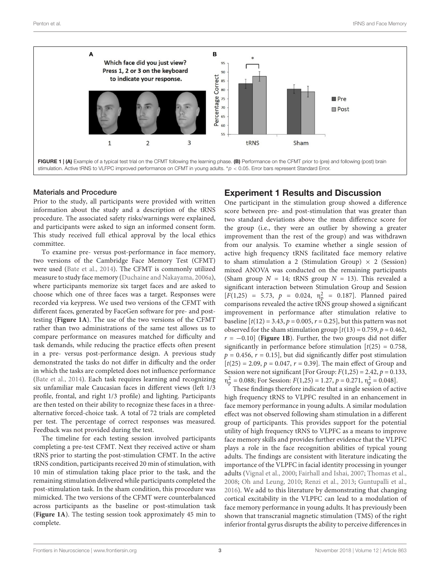

## <span id="page-2-0"></span>Materials and Procedure

Prior to the study, all participants were provided with written information about the study and a description of the tRNS procedure. The associated safety risks/warnings were explained, and participants were asked to sign an informed consent form. This study received full ethical approval by the local ethics committee.

To examine pre- versus post-performance in face memory, two versions of the Cambridge Face Memory Test (CFMT) were used [\(Bate et al.,](#page-8-16) [2014\)](#page-8-16). The CFMT is commonly utilized measure to study face memory [\(Duchaine and Nakayama,](#page-8-17) [2006a\)](#page-8-17), where participants memorize six target faces and are asked to choose which one of three faces was a target. Responses were recorded via keypress. We used two versions of the CFMT with different faces, generated by FaceGen software for pre- and posttesting (**[Figure 1A](#page-2-0)**). The use of the two versions of the CFMT rather than two administrations of the same test allows us to compare performance on measures matched for difficulty and task demands, while reducing the practice effects often present in a pre- versus post-performance design. A previous study demonstrated the tasks do not differ in difficulty and the order in which the tasks are completed does not influence performance [\(Bate et al.,](#page-8-16) [2014\)](#page-8-16). Each task requires learning and recognizing six unfamiliar male Caucasian faces in different views (left 1/3 profile, frontal, and right 1/3 profile) and lighting. Participants are then tested on their ability to recognize these faces in a threealternative forced-choice task. A total of 72 trials are completed per test. The percentage of correct responses was measured. Feedback was not provided during the test.

The timeline for each testing session involved participants completing a pre-test CFMT. Next they received active or sham tRNS prior to starting the post-stimulation CFMT. In the active tRNS condition, participants received 20 min of stimulation, with 10 min of stimulation taking place prior to the task, and the remaining stimulation delivered while participants completed the post-stimulation task. In the sham condition, this procedure was mimicked. The two versions of the CFMT were counterbalanced across participants as the baseline or post-stimulation task (**[Figure 1A](#page-2-0)**). The testing session took approximately 45 min to complete.

## Experiment 1 Results and Discussion

One participant in the stimulation group showed a difference score between pre- and post-stimulation that was greater than two standard deviations above the mean difference score for the group (i.e., they were an outlier by showing a greater improvement than the rest of the group) and was withdrawn from our analysis. To examine whether a single session of active high frequency tRNS facilitated face memory relative to sham stimulation a 2 (Stimulation Group)  $\times$  2 (Session) mixed ANOVA was conducted on the remaining participants (Sham group  $N = 14$ ; tRNS group  $N = 13$ ). This revealed a significant interaction between Stimulation Group and Session  $[F(1,25) = 5.73, p = 0.024, \eta_p^2 = 0.187]$ . Planned paired comparisons revealed the active tRNS group showed a significant improvement in performance after stimulation relative to baseline  $[t(12) = 3.43, p = 0.005, r = 0.25]$ , but this pattern was not observed for the sham stimulation group  $[t(13) = 0.759, p = 0.462,$  $r = -0.10$ ] (**[Figure 1B](#page-2-0)**). Further, the two groups did not differ significantly in performance before stimulation  $[t(25) = 0.758]$ ,  $p = 0.456$ ,  $r = 0.15$ , but did significantly differ post stimulation  $[t(25) = 2.09, p = 0.047, r = 0.39]$ . The main effect of Group and Session were not significant [For Group:  $F(1,25) = 2.42$ ,  $p = 0.133$ ,  $\eta_p^2 = 0.088$ ; For Session:  $F(1,25) = 1.27$ ,  $p = 0.271$ ,  $\eta_p^2 = 0.048$ .

These findings therefore indicate that a single session of active high frequency tRNS to VLPFC resulted in an enhancement in face memory performance in young adults. A similar modulation effect was not observed following sham stimulation in a different group of participants. This provides support for the potential utility of high frequency tRNS to VLPFC as a means to improve face memory skills and provides further evidence that the VLPFC plays a role in the face recognition abilities of typical young adults. The findings are consistent with literature indicating the importance of the VLPFC in facial identity processing in younger adults [\(Vignal et al.,](#page-9-9) [2000;](#page-9-9) [Fairhall and Ishai,](#page-8-11) [2007;](#page-8-11) [Thomas et al.,](#page-9-7) [2008;](#page-9-7) [Oh and Leung,](#page-9-8) [2010;](#page-9-8) [Renzi et al.,](#page-9-10) [2013;](#page-9-10) [Guntupalli et al.,](#page-8-12) [2016\)](#page-8-12). We add to this literature by demonstrating that changing cortical excitability in the VLPFC can lead to a modulation of face memory performance in young adults. It has previously been shown that transcranial magnetic stimulation (TMS) of the right inferior frontal gyrus disrupts the ability to perceive differences in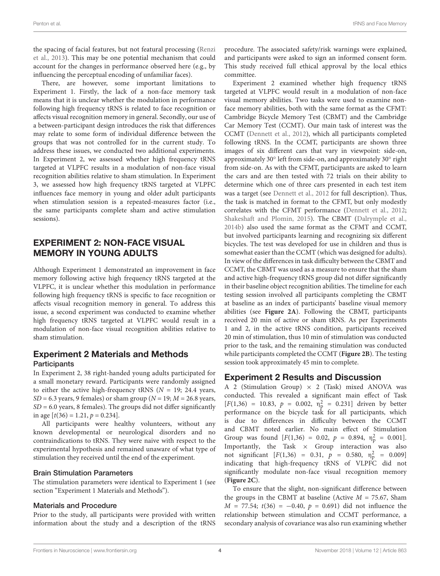the spacing of facial features, but not featural processing [\(Renzi](#page-9-10) [et al.,](#page-9-10) [2013\)](#page-9-10). This may be one potential mechanism that could account for the changes in performance observed here (e.g., by influencing the perceptual encoding of unfamiliar faces).

There, are however, some important limitations to Experiment 1. Firstly, the lack of a non-face memory task means that it is unclear whether the modulation in performance following high frequency tRNS is related to face recognition or affects visual recognition memory in general. Secondly, our use of a between-participant design introduces the risk that differences may relate to some form of individual difference between the groups that was not controlled for in the current study. To address these issues, we conducted two additional experiments. In Experiment 2, we assessed whether high frequency tRNS targeted at VLPFC results in a modulation of non-face visual recognition abilities relative to sham stimulation. In Experiment 3, we assessed how high frequency tRNS targeted at VLPFC influences face memory in young and older adult participants when stimulation session is a repeated-measures factor (i.e., the same participants complete sham and active stimulation sessions).

## EXPERIMENT 2: NON-FACE VISUAL MEMORY IN YOUNG ADULTS

Although Experiment 1 demonstrated an improvement in face memory following active high frequency tRNS targeted at the VLPFC, it is unclear whether this modulation in performance following high frequency tRNS is specific to face recognition or affects visual recognition memory in general. To address this issue, a second experiment was conducted to examine whether high frequency tRNS targeted at VLPFC would result in a modulation of non-face visual recognition abilities relative to sham stimulation.

## Experiment 2 Materials and Methods **Participants**

In Experiment 2, 38 right-handed young adults participated for a small monetary reward. Participants were randomly assigned to either the active high-frequency tRNS ( $N = 19$ ; 24.4 years,  $SD = 6.3$  years, 9 females) or sham group ( $N = 19$ ;  $M = 26.8$  years,  $SD = 6.0$  years, 8 females). The groups did not differ significantly in age  $[t(36) = 1.21, p = 0.234]$ .

All participants were healthy volunteers, without any known developmental or neurological disorders and no contraindications to tRNS. They were naive with respect to the experimental hypothesis and remained unaware of what type of stimulation they received until the end of the experiment.

## Brain Stimulation Parameters

The stimulation parameters were identical to Experiment 1 (see section "Experiment 1 Materials and Methods").

## Materials and Procedure

Prior to the study, all participants were provided with written information about the study and a description of the tRNS procedure. The associated safety/risk warnings were explained, and participants were asked to sign an informed consent form. This study received full ethical approval by the local ethics committee.

Experiment 2 examined whether high frequency tRNS targeted at VLPFC would result in a modulation of non-face visual memory abilities. Two tasks were used to examine nonface memory abilities, both with the same format as the CFMT: Cambridge Bicycle Memory Test (CBMT) and the Cambridge Car Memory Test (CCMT). Our main task of interest was the CCMT [\(Dennett et al.,](#page-8-18) [2012\)](#page-8-18), which all participants completed following tRNS. In the CCMT, participants are shown three images of six different cars that vary in viewpoint: side-on, approximately 30◦ left from side-on, and approximately 30◦ right from side-on. As with the CFMT, participants are asked to learn the cars and are then tested with 72 trials on their ability to determine which one of three cars presented in each test item was a target (see [Dennett et al.,](#page-8-18) [2012](#page-8-18) for full description). Thus, the task is matched in format to the CFMT, but only modestly correlates with the CFMT performance [\(Dennett et al.,](#page-8-18) [2012;](#page-8-18) [Shakeshaft and Plomin,](#page-9-11) [2015\)](#page-9-11). The CBMT [\(Dalrymple et al.,](#page-8-19) [2014b\)](#page-8-19) also used the same format as the CFMT and CCMT, but involved participants learning and recognizing six different bicycles. The test was developed for use in children and thus is somewhat easier than the CCMT (which was designed for adults). In view of the differences in task difficulty between the CBMT and CCMT, the CBMT was used as a measure to ensure that the sham and active high-frequency tRNS group did not differ significantly in their baseline object recognition abilities. The timeline for each testing session involved all participants completing the CBMT at baseline as an index of participants' baseline visual memory abilities (see **[Figure 2A](#page-4-0)**). Following the CBMT, participants received 20 min of active or sham tRNS. As per Experiments 1 and 2, in the active tRNS condition, participants received 20 min of stimulation, thus 10 min of stimulation was conducted prior to the task, and the remaining stimulation was conducted while participants completed the CCMT (**[Figure 2B](#page-4-0)**). The testing session took approximately 45 min to complete.

## Experiment 2 Results and Discussion

A 2 (Stimulation Group)  $\times$  2 (Task) mixed ANOVA was conducted. This revealed a significant main effect of Task  $[F(1,36) = 10.83, p = 0.002, \eta_p^2 = 0.231]$  driven by better performance on the bicycle task for all participants, which is due to differences in difficulty between the CCMT and CBMT noted earlier. No main effect of Stimulation Group was found  $[F(1,36) = 0.02, p = 0.894, \eta_p^2 = 0.001].$ Importantly, the Task  $\times$  Group interaction was also not significant  $[F(1,36) = 0.31, p = 0.580, \eta_p^2 = 0.009]$ indicating that high-frequency tRNS of VLPFC did not significantly modulate non-face visual recognition memory (**[Figure 2C](#page-4-0)**).

To ensure that the slight, non-significant difference between the groups in the CBMT at baseline (Active  $M = 75.67$ , Sham  $M = 77.54$ ;  $t(36) = -0.40$ ,  $p = 0.691$ ) did not influence the relationship between stimulation and CCMT performance, a secondary analysis of covariance was also run examining whether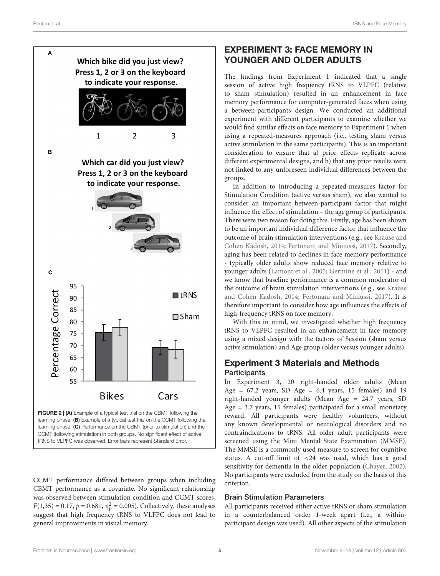

<span id="page-4-0"></span>CCMT performance differed between groups when including CBMT performance as a covariate. No significant relationship was observed between stimulation condition and CCMT scores,  $F(1,35) = 0.17, p = 0.681, \eta_p^2 = 0.005$ ). Collectively, these analyses suggest that high frequency tRNS to VLFPC does not lead to general improvements in visual memory.

## EXPERIMENT 3: FACE MEMORY IN YOUNGER AND OLDER ADULTS

The findings from Experiment 1 indicated that a single session of active high frequency tRNS to VLPFC (relative to sham stimulation) resulted in an enhancement in face memory performance for computer-generated faces when using a between-participants design. We conducted an additional experiment with different participants to examine whether we would find similar effects on face memory to Experiment 1 when using a repeated-measures approach (i.e., testing sham versus active stimulation in the same participants). This is an important consideration to ensure that a) prior effects replicate across different experimental designs, and b) that any prior results were not linked to any unforeseen individual differences between the groups.

In addition to introducing a repeated-measures factor for Stimulation Condition (active versus sham), we also wanted to consider an important between-participant factor that might influence the effect of stimulation – the age group of participants. There were two reason for doing this. Firstly, age has been shown to be an important individual difference factor that influence the outcome of brain stimulation interventions (e.g., see [Krause and](#page-8-20) [Cohen Kadosh,](#page-8-20) [2014;](#page-8-20) [Fertonani and Miniussi,](#page-8-21) [2017\)](#page-8-21). Secondly, aging has been related to declines in face memory performance - typically older adults show reduced face memory relative to younger adults [\(Lamont et al.,](#page-8-22) [2005;](#page-8-22) [Germine et al.,](#page-8-3) [2011\)](#page-8-3) - and we know that baseline performance is a common moderator of the outcome of brain stimulation interventions (e.g., see [Krause](#page-8-20) [and Cohen Kadosh,](#page-8-20) [2014;](#page-8-20) [Fertonani and Miniussi,](#page-8-21) [2017\)](#page-8-21). It is therefore important to consider how age influences the effects of high-frequency tRNS on face memory.

With this in mind, we investigated whether high frequency tRNS to VLPFC resulted in an enhancement in face memory using a mixed design with the factors of Session (sham versus active stimulation) and Age group (older versus younger adults).

## Experiment 3 Materials and Methods **Participants**

In Experiment 3, 20 right-handed older adults (Mean Age =  $67.2$  years, SD Age =  $6.4$  years, 15 females) and 19 right-handed younger adults (Mean Age = 24.7 years, SD Age = 3.7 years, 15 females) participated for a small monetary reward. All participants were healthy volunteers, without any known developmental or neurological disorders and no contraindications to tRNS. All older adult participants were screened using the Mini Mental State Examination (MMSE). The MMSE is a commonly used measure to screen for cognitive status. A cut-off limit of <24 was used, which has a good sensitivity for dementia in the older population [\(Chayer,](#page-8-23) [2002\)](#page-8-23). No participants were excluded from the study on the basis of this criterion.

## Brain Stimulation Parameters

All participants received either active tRNS or sham stimulation in a counterbalanced order 1-week apart (i.e., a withinparticipant design was used). All other aspects of the stimulation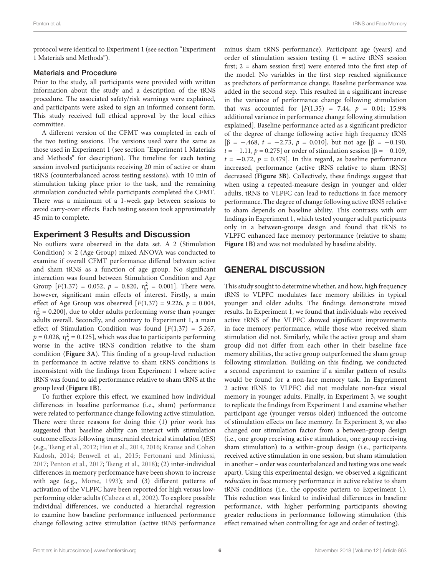protocol were identical to Experiment 1 (see section "Experiment 1 Materials and Methods").

#### Materials and Procedure

Prior to the study, all participants were provided with written information about the study and a description of the tRNS procedure. The associated safety/risk warnings were explained, and participants were asked to sign an informed consent form. This study received full ethical approval by the local ethics committee.

A different version of the CFMT was completed in each of the two testing sessions. The versions used were the same as those used in Experiment 1 (see section "Experiment 1 Materials and Methods" for description). The timeline for each testing session involved participants receiving 20 min of active or sham tRNS (counterbalanced across testing sessions), with 10 min of stimulation taking place prior to the task, and the remaining stimulation conducted while participants completed the CFMT. There was a minimum of a 1-week gap between sessions to avoid carry-over effects. Each testing session took approximately 45 min to complete.

## Experiment 3 Results and Discussion

No outliers were observed in the data set. A 2 (Stimulation Condition)  $\times$  2 (Age Group) mixed ANOVA was conducted to examine if overall CFMT performance differed between active and sham tRNS as a function of age group. No significant interaction was found between Stimulation Condition and Age Group  $[F(1,37) = 0.052, p = 0.820, \eta_{\rm p}^2 = 0.001]$ . There were, however, significant main effects of interest. Firstly, a main effect of Age Group was observed  $[F(1,37) = 9.226, p = 0.004,$  $\eta_p^2$  = 0.200], due to older adults performing worse than younger adults overall. Secondly, and contrary to Experiment 1, a main effect of Stimulation Condition was found  $[F(1,37) = 5.267,$  $p = 0.028$ ,  $\eta_{\rm p}^2 = 0.125$ ], which was due to participants performing worse in the active tRNS condition relative to the sham condition (**[Figure 3A](#page-6-0)**). This finding of a group-level reduction in performance in active relative to sham tRNS conditions is inconsistent with the findings from Experiment 1 where active tRNS was found to aid performance relative to sham tRNS at the group level (**[Figure 1B](#page-2-0)**).

To further explore this effect, we examined how individual differences in baseline performance (i.e., sham) performance were related to performance change following active stimulation. There were three reasons for doing this: (1) prior work has suggested that baseline ability can interact with stimulation outcome effects following transcranial electrical stimulation (tES) (e.g., [Tseng et al.,](#page-9-12) [2012;](#page-9-12) [Hsu et al.,](#page-8-24) [2014,](#page-8-24) [2016;](#page-8-25) [Krause and Cohen](#page-8-20) [Kadosh,](#page-8-20) [2014;](#page-8-20) [Benwell et al.,](#page-8-26) [2015;](#page-8-26) [Fertonani and Miniussi,](#page-8-21) [2017;](#page-8-21) [Penton et al.,](#page-9-13) [2017;](#page-9-13) [Tseng et al.,](#page-9-14) [2018\)](#page-9-14); (2) inter-individual differences in memory performance have been shown to increase with age (e.g., [Morse,](#page-8-27) [1993\)](#page-8-27); and (3) different patterns of activation of the VLPFC have been reported for high versus lowperforming older adults [\(Cabeza et al.,](#page-8-28) [2002\)](#page-8-28). To explore possible individual differences, we conducted a hierarchal regression to examine how baseline performance influenced performance change following active stimulation (active tRNS performance

minus sham tRNS performance). Participant age (years) and order of stimulation session testing  $(1 = \text{active tRNS s})$ first; 2 = sham session first) were entered into the first step of the model. No variables in the first step reached significance as predictors of performance change. Baseline performance was added in the second step. This resulted in a significant increase in the variance of performance change following stimulation that was accounted for  $[F(1,35) = 7.44, p = 0.01; 15.9\%$ additional variance in performance change following stimulation explained]. Baseline performance acted as a significant predictor of the degree of change following active high frequency tRNS  $[β = -.468, t = -2.73, p = 0.010], but not age [β = -0.190,$  $t = -1.11, p = 0.275$ ] or order of stimulation session [β = -0.109,  $t = -0.72$ ,  $p = 0.479$ . In this regard, as baseline performance increased, performance (active tRNS relative to sham tRNS) decreased (**[Figure 3B](#page-6-0)**). Collectively, these findings suggest that when using a repeated-measure design in younger and older adults, tRNS to VLPFC can lead to reductions in face memory performance. The degree of change following active tRNS relative to sham depends on baseline ability. This contrasts with our findings in Experiment 1, which tested younger adult participants only in a between-groups design and found that tRNS to VLPFC enhanced face memory performance (relative to sham; [Figure 1B](#page-2-0)) and was not modulated by baseline ability.

## GENERAL DISCUSSION

This study sought to determine whether, and how, high frequency tRNS to VLPFC modulates face memory abilities in typical younger and older adults. The findings demonstrate mixed results. In Experiment 1, we found that individuals who received active tRNS of the VLPFC showed significant improvements in face memory performance, while those who received sham stimulation did not. Similarly, while the active group and sham group did not differ from each other in their baseline face memory abilities, the active group outperformed the sham group following stimulation. Building on this finding, we conducted a second experiment to examine if a similar pattern of results would be found for a non-face memory task. In Experiment 2 active tRNS to VLPFC did not modulate non-face visual memory in younger adults. Finally, in Experiment 3, we sought to replicate the findings from Experiment 1 and examine whether participant age (younger versus older) influenced the outcome of stimulation effects on face memory. In Experiment 3, we also changed our stimulation factor from a between-group design (i.e., one group receiving active stimulation, one group receiving sham stimulation) to a within-group design (i.e., participants received active stimulation in one session, but sham stimulation in another – order was counterbalanced and testing was one week apart). Using this experimental design, we observed a significant reduction in face memory performance in active relative to sham tRNS conditions (i.e., the opposite pattern to Experiment 1). This reduction was linked to individual differences in baseline performance, with higher performing participants showing greater reductions in performance following stimulation (this effect remained when controlling for age and order of testing).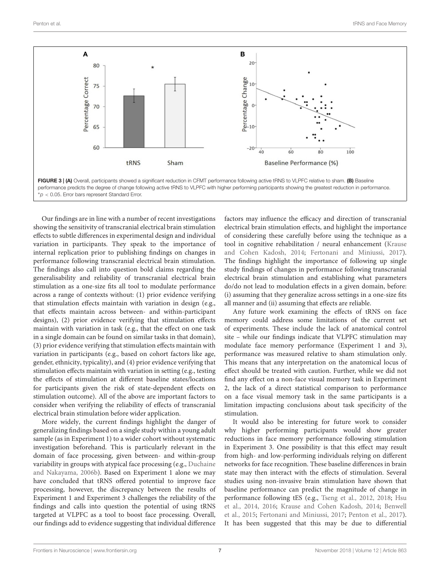

<span id="page-6-0"></span>

Our findings are in line with a number of recent investigations showing the sensitivity of transcranial electrical brain stimulation effects to subtle differences in experimental design and individual variation in participants. They speak to the importance of internal replication prior to publishing findings on changes in performance following transcranial electrical brain stimulation. The findings also call into question bold claims regarding the generalisability and reliability of transcranial electrical brain stimulation as a one-size fits all tool to modulate performance across a range of contexts without: (1) prior evidence verifying that stimulation effects maintain with variation in design (e.g., that effects maintain across between- and within-participant designs), (2) prior evidence verifying that stimulation effects maintain with variation in task (e.g., that the effect on one task in a single domain can be found on similar tasks in that domain), (3) prior evidence verifying that stimulation effects maintain with variation in participants (e.g., based on cohort factors like age, gender, ethnicity, typicality), and (4) prior evidence verifying that stimulation effects maintain with variation in setting (e.g., testing the effects of stimulation at different baseline states/locations for participants given the risk of state-dependent effects on stimulation outcome). All of the above are important factors to consider when verifying the reliability of effects of transcranial electrical brain stimulation before wider application.

More widely, the current findings highlight the danger of generalizing findings based on a single study within a young adult sample (as in Experiment 1) to a wider cohort without systematic investigation beforehand. This is particularly relevant in the domain of face processing, given between- and within-group variability in groups with atypical face processing (e.g., [Duchaine](#page-8-29) [and Nakayama,](#page-8-29) [2006b\)](#page-8-29). Based on Experiment 1 alone we may have concluded that tRNS offered potential to improve face processing, however, the discrepancy between the results of Experiment 1 and Experiment 3 challenges the reliability of the findings and calls into question the potential of using tRNS targeted at VLPFC as a tool to boost face processing. Overall, our findings add to evidence suggesting that individual difference factors may influence the efficacy and direction of transcranial electrical brain stimulation effects, and highlight the importance of considering these carefully before using the technique as a tool in cognitive rehabilitation / neural enhancement [\(Krause](#page-8-20) [and Cohen Kadosh,](#page-8-20) [2014;](#page-8-20) [Fertonani and Miniussi,](#page-8-21) [2017\)](#page-8-21). The findings highlight the importance of following up single study findings of changes in performance following transcranial electrical brain stimulation and establishing what parameters do/do not lead to modulation effects in a given domain, before: (i) assuming that they generalize across settings in a one-size fits all manner and (ii) assuming that effects are reliable.

Any future work examining the effects of tRNS on face memory could address some limitations of the current set of experiments. These include the lack of anatomical control site – while our findings indicate that VLPFC stimulation may modulate face memory performance (Experiment 1 and 3), performance was measured relative to sham stimulation only. This means that any interpretation on the anatomical locus of effect should be treated with caution. Further, while we did not find any effect on a non-face visual memory task in Experiment 2, the lack of a direct statistical comparison to performance on a face visual memory task in the same participants is a limitation impacting conclusions about task specificity of the stimulation.

It would also be interesting for future work to consider why higher performing participants would show greater reductions in face memory performance following stimulation in Experiment 3. One possibility is that this effect may result from high- and low-performing individuals relying on different networks for face recognition. These baseline differences in brain state may then interact with the effects of stimulation. Several studies using non-invasive brain stimulation have shown that baseline performance can predict the magnitude of change in performance following tES (e.g., [Tseng et al.,](#page-9-12) [2012,](#page-9-12) [2018;](#page-9-14) [Hsu](#page-8-24) [et al.,](#page-8-24) [2014,](#page-8-24) [2016;](#page-8-25) [Krause and Cohen Kadosh,](#page-8-20) [2014;](#page-8-20) [Benwell](#page-8-26) [et al.,](#page-8-26) [2015;](#page-8-26) [Fertonani and Miniussi,](#page-8-21) [2017;](#page-8-21) [Penton et al.,](#page-9-13) [2017\)](#page-9-13). It has been suggested that this may be due to differential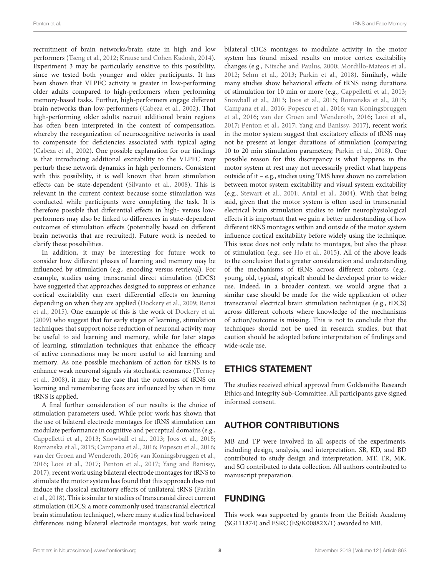recruitment of brain networks/brain state in high and low performers [\(Tseng et al.,](#page-9-12) [2012;](#page-9-12) [Krause and Cohen Kadosh,](#page-8-20) [2014\)](#page-8-20). Experiment 3 may be particularly sensitive to this possibility, since we tested both younger and older participants. It has been shown that VLPFC activity is greater in low-performing older adults compared to high-performers when performing memory-based tasks. Further, high-performers engage different brain networks than low-performers [\(Cabeza et al.,](#page-8-28) [2002\)](#page-8-28). That high-performing older adults recruit additional brain regions has often been interpreted in the context of compensation, whereby the reorganization of neurocognitive networks is used to compensate for deficiencies associated with typical aging [\(Cabeza et al.,](#page-8-28) [2002\)](#page-8-28). One possible explanation for our findings is that introducing additional excitability to the VLPFC may perturb these network dynamics in high performers. Consistent with this possibility, it is well known that brain stimulation effects can be state-dependent [\(Silvanto et al.,](#page-9-15) [2008\)](#page-9-15). This is relevant in the current context because some stimulation was conducted while participants were completing the task. It is therefore possible that differential effects in high- versus lowperformers may also be linked to differences in state-dependent outcomes of stimulation effects (potentially based on different brain networks that are recruited). Future work is needed to clarify these possibilities.

In addition, it may be interesting for future work to consider how different phases of learning and memory may be influenced by stimulation (e.g., encoding versus retrieval). For example, studies using transcranial direct stimulation (tDCS) have suggested that approaches designed to suppress or enhance cortical excitability can exert differential effects on learning depending on when they are applied [\(Dockery et al.,](#page-8-30) [2009;](#page-8-30) [Renzi](#page-9-6) [et al.,](#page-9-6) [2015\)](#page-9-6). One example of this is the work of [Dockery et al.](#page-8-30) [\(2009\)](#page-8-30) who suggest that for early stages of learning, stimulation techniques that support noise reduction of neuronal activity may be useful to aid learning and memory, while for later stages of learning, stimulation techniques that enhance the efficacy of active connections may be more useful to aid learning and memory. As one possible mechanism of action for tRNS is to enhance weak neuronal signals via stochastic resonance [\(Terney](#page-9-4) [et al.,](#page-9-4) [2008\)](#page-9-4), it may be the case that the outcomes of tRNS on learning and remembering faces are influenced by when in time tRNS is applied.

A final further consideration of our results is the choice of stimulation parameters used. While prior work has shown that the use of bilateral electrode montages for tRNS stimulation can modulate performance in cognitive and perceptual domains (e.g., [Cappelletti et al.,](#page-8-31) [2013;](#page-8-31) [Snowball et al.,](#page-9-3) [2013;](#page-9-3) [Joos et al.,](#page-8-32) [2015;](#page-8-32) [Romanska et al.,](#page-9-5) [2015;](#page-9-5) [Campana et al.,](#page-8-33) [2016;](#page-8-33) [Popescu et al.,](#page-9-16) [2016;](#page-9-16) [van der Groen and Wenderoth,](#page-9-17) [2016;](#page-9-17) [van Koningsbruggen et al.,](#page-9-18) [2016;](#page-9-18) [Looi et al.,](#page-8-34) [2017;](#page-8-34) [Penton et al.,](#page-9-13) [2017;](#page-9-13) [Yang and Banissy,](#page-9-19) [2017\)](#page-9-19), recent work using bilateral electrode montages for tRNS to stimulate the motor system has found that this approach does not induce the classical excitatory effects of unilateral tRNS [\(Parkin](#page-9-20) [et al.,](#page-9-20) [2018\)](#page-9-20). This is similar to studies of transcranial direct current stimulation (tDCS: a more commonly used transcranial electrical brain stimulation technique), where many studies find behavioral differences using bilateral electrode montages, but work using bilateral tDCS montages to modulate activity in the motor system has found mixed results on motor cortex excitability changes (e.g., [Nitsche and Paulus,](#page-8-35) [2000;](#page-8-35) [Mordillo-Mateos et al.,](#page-8-36) [2012;](#page-8-36) [Sehm et al.,](#page-9-21) [2013;](#page-9-21) [Parkin et al.,](#page-9-20) [2018\)](#page-9-20). Similarly, while many studies show behavioral effects of tRNS using durations of stimulation for 10 min or more (e.g., [Cappelletti et al.,](#page-8-31) [2013;](#page-8-31) [Snowball et al.,](#page-9-3) [2013;](#page-9-3) [Joos et al.,](#page-8-32) [2015;](#page-8-32) [Romanska et al.,](#page-9-5) [2015;](#page-9-5) [Campana et al.,](#page-8-33) [2016;](#page-8-33) [Popescu et al.,](#page-9-16) [2016;](#page-9-16) [van Koningsbruggen](#page-9-18) [et al.,](#page-9-18) [2016;](#page-9-18) [van der Groen and Wenderoth,](#page-9-17) [2016;](#page-9-17) [Looi et al.,](#page-8-34) [2017;](#page-8-34) [Penton et al.,](#page-9-13) [2017;](#page-9-13) [Yang and Banissy,](#page-9-19) [2017\)](#page-9-19), recent work in the motor system suggest that excitatory effects of tRNS may not be present at longer durations of stimulation (comparing 10 to 20 min stimulation parameters; [Parkin et al.,](#page-9-20) [2018\)](#page-9-20). One possible reason for this discrepancy is what happens in the motor system at rest may not necessarily predict what happens outside of it – e.g., studies using TMS have shown no correlation between motor system excitability and visual system excitability (e.g., [Stewart et al.,](#page-9-22) [2001;](#page-9-22) [Antal et al.,](#page-8-37) [2004\)](#page-8-37). With that being said, given that the motor system is often used in transcranial electrical brain stimulation studies to infer neurophysiological effects it is important that we gain a better understanding of how different tRNS montages within and outside of the motor system influence cortical excitability before widely using the technique. This issue does not only relate to montages, but also the phase of stimulation (e.g., see [Ho et al.,](#page-8-38) [2015\)](#page-8-38). All of the above leads to the conclusion that a greater consideration and understanding of the mechanisms of tRNS across different cohorts (e.g., young, old, typical, atypical) should be developed prior to wider use. Indeed, in a broader context, we would argue that a similar case should be made for the wide application of other transcranial electrical brain stimulation techniques (e.g., tDCS) across different cohorts where knowledge of the mechanisms of action/outcome is missing. This is not to conclude that the techniques should not be used in research studies, but that caution should be adopted before interpretation of findings and wide-scale use.

## ETHICS STATEMENT

The studies received ethical approval from Goldsmiths Research Ethics and Integrity Sub-Committee. All participants gave signed informed consent.

# AUTHOR CONTRIBUTIONS

MB and TP were involved in all aspects of the experiments, including design, analysis, and interpretation. SB, KD, and BD contributed to study design and interpretation. MT, TR, MK, and SG contributed to data collection. All authors contributed to manuscript preparation.

## FUNDING

This work was supported by grants from the British Academy (SG111874) and ESRC (ES/K00882X/1) awarded to MB.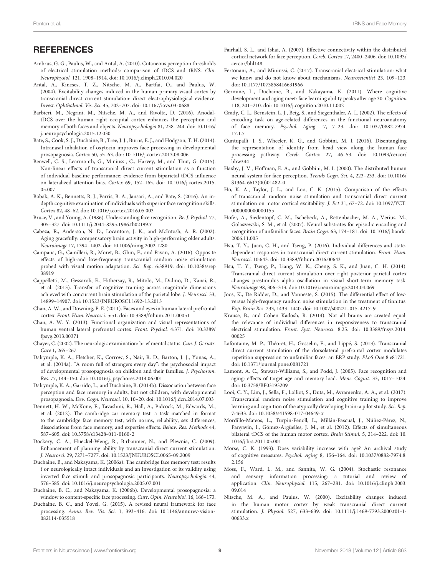## **REFERENCES**

- <span id="page-8-15"></span>Ambrus, G. G., Paulus, W., and Antal, A. (2010). Cutaneous perception thresholds of electrical stimulation methods: comparison of tDCS and tRNS. Clin. Neurophysiol. 121, 1908–1914. [doi: 10.1016/j.clinph.2010.04.020](https://doi.org/10.1016/j.clinph.2010.04.020)
- <span id="page-8-37"></span>Antal, A., Kincses, T. Z., Nitsche, M. A., Bartfai, O., and Paulus, W. (2004). Excitability changes induced in the human primary visual cortex by transcranial direct current stimulation: direct electrophysiological evidence. Invest. Ophthalmol. Vis. Sci. 45, 702–707. [doi: 10.1167/iovs.03-0688](https://doi.org/10.1167/iovs.03-0688)
- <span id="page-8-8"></span>Barbieri, M., Negrini, M., Nitsche, M. A., and Rivolta, D. (2016). AnodaltDCS over the human right occipital cortex enhances the perception and memory of both faces and objects. Neuropsychologia 81, 238–244. [doi: 10.1016/](https://doi.org/10.1016/j.neuropsychologia.2015.12.030) [j.neuropsychologia.2015.12.030](https://doi.org/10.1016/j.neuropsychologia.2015.12.030)
- <span id="page-8-16"></span>Bate, S., Cook, S. J., Duchaine, B., Tree, J. J., Burns, E. J., and Hodgson, T. H. (2014). Intranasal inhalation of oxytocin improves face processing in developmental prosopagnosia. Cortex 50, 55–63. [doi: 10.1016/j.cortex.2013.08.006](https://doi.org/10.1016/j.cortex.2013.08.006)
- <span id="page-8-26"></span>Benwell, C. S., Learmonth, G., Miniussi, C., Harvey, M., and Thut, G. (2015). Non-linear effects of transcranial direct current stimulation as a function of individual baseline performance: evidence from biparietal tDCS influence on lateralized attention bias. Cortex 69, 152–165. [doi: 10.1016/j.cortex.2015.](https://doi.org/10.1016/j.cortex.2015.05.007) [05.007](https://doi.org/10.1016/j.cortex.2015.05.007)
- <span id="page-8-5"></span>Bobak, A. K., Bennetts, R. J., Parris, B. A., Jansari, A., and Bate, S. (2016). An indepth cognitive examination of individuals with superior face recognition skills. Cortex 82, 48–62. [doi: 10.1016/j.cortex.2016.05.003](https://doi.org/10.1016/j.cortex.2016.05.003)
- <span id="page-8-0"></span>Bruce, V., and Young, A. (1986). Understanding face recognition. Br. J. Psychol. 77, 305–327. [doi: 10.1111/j.2044-8295.1986.tb02199.x](https://doi.org/10.1111/j.2044-8295.1986.tb02199.x)
- <span id="page-8-28"></span>Cabeza, R., Anderson, N. D., Locantore, J. K., and McIntosh, A. R. (2002). Aging gracefully: compensatory brain activity in high-performing older adults. Neuroimage 17, 1394–1402. [doi: 10.1006/nimg.2002.1280](https://doi.org/10.1006/nimg.2002.1280)
- <span id="page-8-33"></span>Campana, G., Camilleri, R., Moret, B., Ghin, F., and Pavan, A. (2016). Opposite effects of high-and low-frequency transcranial random noise stimulation probed with visual motion adaptation. Sci. Rep. 6:38919. [doi: 10.1038/srep](https://doi.org/10.1038/srep38919) [38919](https://doi.org/10.1038/srep38919)
- <span id="page-8-31"></span>Cappelletti, M., Gessaroli, E., Hithersay, R., Mitolo, M., Didino, D., Kanai, R., et al. (2013). Transfer of cognitive training across magnitude dimensions achieved with concurrent brain stimulation of the parietal lobe. J. Neurosci. 33, 14899–14907. [doi: 10.1523/JNEUROSCI.1692-13.2013](https://doi.org/10.1523/JNEUROSCI.1692-13.2013)
- <span id="page-8-13"></span>Chan, A. W., and Downing, P. E. (2011). Faces and eyes in human lateral prefrontal cortex. Front. Hum. Neurosci. 5:51. [doi: 10.3389/fnhum.2011.00051](https://doi.org/10.3389/fnhum.2011.00051)
- <span id="page-8-14"></span>Chan, A. W. Y. (2013). Functional organization and visual representations of human ventral lateral prefrontal cortex. Front. Psychol. 4:371. [doi: 10.3389/](https://doi.org/10.3389/fpsyg.2013.00371) [fpsyg.2013.00371](https://doi.org/10.3389/fpsyg.2013.00371)
- <span id="page-8-23"></span>Chayer, C. (2002). The neurologic examination: brief mental status. Can. J. Geriatr. Care 1, 265–267.
- <span id="page-8-4"></span>Dalrymple, K. A., Fletcher, K., Corrow, S., Nair, R. D., Barton, J. J., Yonas, A., et al. (2014a). "A room full of strangers every day": the psychosocial impact of developmental prosopagnosia on children and their families. J. Psychosom. Res. 77, 144–150. [doi: 10.1016/j.jpsychores.2014.06.001](https://doi.org/10.1016/j.jpsychores.2014.06.001)
- <span id="page-8-19"></span>Dalrymple, K. A., Garrido, L., and Duchaine, B. (2014b). Dissociation between face perception and face memory in adults, but not children, with developmental prosopagnosia. Dev. Cogn. Neurosci. 10, 10–20. [doi: 10.1016/j.dcn.2014.07.003](https://doi.org/10.1016/j.dcn.2014.07.003)
- <span id="page-8-18"></span>Dennett, H. W., McKone, E., Tavashmi, R., Hall, A., Pidcock, M., Edwards, M., et al. (2012). The cambridge car memory test: a task matched in format to the cambridge face memory test, with norms, reliability, sex differences, dissociations from face memory, and expertise effects. Behav. Res. Methods 44, 587–605. [doi: 10.3758/s13428-011-0160-2](https://doi.org/10.3758/s13428-011-0160-2)
- <span id="page-8-30"></span>Dockery, C. A., Hueckel-Weng, R., Birbaumer, N., and Plewnia, C. (2009). Enhancement of planning ability by transcranial direct current stimulation. J. Neurosci. 29, 7271–7277. [doi: 10.1523/JNEUROSCI.0065-09.2009](https://doi.org/10.1523/JNEUROSCI.0065-09.2009)
- <span id="page-8-17"></span>Duchaine, B., and Nakayama, K. (2006a). The cambridge face memory test: results f or neurologically intact individuals and an investigation of its validity using inverted face stimuli and prosopagnosic participants. Neuropsychologia 44, 576–585. [doi: 10.1016/j.neuropsychologia.2005.07.001](https://doi.org/10.1016/j.neuropsychologia.2005.07.001)
- <span id="page-8-29"></span>Duchaine, B. C., and Nakayama, K. (2006b). Developmental prosopagnosia: a window to content-specific face processing. Curr. Opin. Neurobiol. 16, 166–173.
- <span id="page-8-2"></span>Duchaine, B. C., and Yovel, G. (2015). A revised neural framework for face processing. Annu. Rev. Vis. Sci. 1, 393–416. [doi: 10.1146/annurev-vision-](https://doi.org/10.1146/annurev-vision-082114-035518)[082114-035518](https://doi.org/10.1146/annurev-vision-082114-035518)
- <span id="page-8-11"></span>Fairhall, S. L., and Ishai, A. (2007). Effective connectivity within the distributed cortical network for face perception. Cereb. Cortex 17, 2400–2406. [doi: 10.1093/](https://doi.org/10.1093/cercor/bhl148) [cercor/bhl148](https://doi.org/10.1093/cercor/bhl148)
- <span id="page-8-21"></span>Fertonani, A., and Miniussi, C. (2017). Transcranial electrical stimulation: what we know and do not know about mechanisms. Neuroscientist 23, 109–123. [doi: 10.1177/1073858416631966](https://doi.org/10.1177/1073858416631966)
- <span id="page-8-3"></span>Germine, L., Duchaine, B., and Nakayama, K. (2011). Where cognitive development and aging meet: face learning ability peaks after age 30. Cognition 118, 201–210. [doi: 10.1016/j.cognition.2010.11.002](https://doi.org/10.1016/j.cognition.2010.11.002)
- <span id="page-8-10"></span>Grady, C. L., Bernstein, L. J., Beig, S., and Siegenthaler, A. L. (2002). The effects of encoding task on age-related differences in the functional neuroanatomy of face memory. Psychol. Aging 17, 7–23. [doi: 10.1037/0882-7974.](https://doi.org/10.1037/0882-7974.17.1.7) [17.1.7](https://doi.org/10.1037/0882-7974.17.1.7)
- <span id="page-8-12"></span>Guntupalli, J. S., Wheeler, K. G., and Gobbini, M. I. (2016). Disentangling the representation of identity from head view along the human face processing pathway. Cereb. Cortex 27, 46–53. [doi: 10.1093/cercor/](https://doi.org/10.1093/cercor/bhw344) [bhw344](https://doi.org/10.1093/cercor/bhw344)
- <span id="page-8-1"></span>Haxby, J. V., Hoffman, E. A., and Gobbini, M. I. (2000). The distributed human neural system for face perception. Trends Cogn. Sci. 4, 223–233. [doi: 10.1016/](https://doi.org/10.1016/S1364-6613(00)01482-0) [S1364-6613\(00\)01482-0](https://doi.org/10.1016/S1364-6613(00)01482-0)
- <span id="page-8-38"></span>Ho, K. A., Taylor, J. L., and Loo, C. K. (2015). Comparison of the effects of transcranial random noise stimulation and transcranial direct current stimulation on motor cortical excitability. J. Ect 31, 67–72. [doi: 10.1097/YCT.](https://doi.org/10.1097/YCT.0000000000000155) [0000000000000155](https://doi.org/10.1097/YCT.0000000000000155)
- <span id="page-8-9"></span>Hofer, A., Siedentopf, C. M., Ischebeck, A., Rettenbacher, M. A., Verius, M., Golaszewski, S. M., et al. (2007). Neural substrates for episodic encoding and recognition of unfamiliar faces. Brain Cogn. 63, 174–181. [doi: 10.1016/j.bandc.](https://doi.org/10.1016/j.bandc.2006.11.005) [2006.11.005](https://doi.org/10.1016/j.bandc.2006.11.005)
- <span id="page-8-25"></span>Hsu, T. Y., Juan, C. H., and Tseng, P. (2016). Individual differences and statedependent responses in transcranial direct current stimulation. Front. Hum. Neurosci. 10:643. [doi: 10.3389/fnhum.2016.00643](https://doi.org/10.3389/fnhum.2016.00643)
- <span id="page-8-24"></span>Hsu, T. Y., Tseng, P., Liang, W. K., Cheng, S. K., and Juan, C. H. (2014). Transcranial direct current stimulation over right posterior parietal cortex changes prestimulus alpha oscillation in visual short-term memory task. Neuroimage 98, 306–313. [doi: 10.1016/j.neuroimage.2014.04.069](https://doi.org/10.1016/j.neuroimage.2014.04.069)
- <span id="page-8-32"></span>Joos, K., De Ridder, D., and Vanneste, S. (2015). The differential effect of lowversus high-frequency random noise stimulation in the treatment of tinnitus. Exp. Brain Res. 233, 1433–1440. [doi: 10.1007/s00221-015-4217-9](https://doi.org/10.1007/s00221-015-4217-9)
- <span id="page-8-20"></span>Krause, B., and Cohen Kadosh, R. (2014). Not all brains are created equal: the relevance of individual differences in responsiveness to transcranial electrical stimulation. Front. Syst. Neurosci. 8:25. [doi: 10.3389/fnsys.2014.](https://doi.org/10.3389/fnsys.2014.00025) [00025](https://doi.org/10.3389/fnsys.2014.00025)
- <span id="page-8-7"></span>Lafontaine, M. P., Théoret, H., Gosselin, F., and Lippé, S. (2013). Transcranial direct current stimulation of the dorsolateral prefrontal cortex modulates repetition suppression to unfamiliar faces: an ERP study. PLoS One 8:e81721. [doi: 10.1371/journal.pone.0081721](https://doi.org/10.1371/journal.pone.0081721)
- <span id="page-8-22"></span>Lamont, A. C., Stewart-Williams, S., and Podd, J. (2005). Face recognition and aging: effects of target age and memory load. Mem. Cognit. 33, 1017–1024. [doi: 10.3758/BF03193209](https://doi.org/10.3758/BF03193209)
- <span id="page-8-34"></span>Looi, C. Y., Lim, J., Sella, F., Lolliot, S., Duta, M., Avramenko, A. A., et al. (2017). Transcranial random noise stimulation and cognitive training to improve learning and cognition of the atypically developing brain: a pilot study. Sci. Rep. 7:4633. [doi: 10.1038/s41598-017-04649-x](https://doi.org/10.1038/s41598-017-04649-x)
- <span id="page-8-36"></span>Mordillo-Mateos, L., Turpin-Fenoll, L., Millán-Pascual, J., Núñez-Pérez, N., Panyavin, I., Gómez-Argüelles, J. M., et al. (2012). Effects of simultaneous bilateral tDCS of the human motor cortex. Brain Stimul. 5, 214–222. [doi: 10.](https://doi.org/10.1016/j.brs.2011.05.001) [1016/j.brs.2011.05.001](https://doi.org/10.1016/j.brs.2011.05.001)
- <span id="page-8-27"></span>Morse, C. K. (1993). Does variability increase with age? An archival study of cognitive measures. Psychol. Aging 8, 156–164. [doi: 10.1037/0882-7974.8.](https://doi.org/10.1037/0882-7974.8.2.156) [2.156](https://doi.org/10.1037/0882-7974.8.2.156)
- <span id="page-8-6"></span>Moss, F., Ward, L. M., and Sannita, W. G. (2004). Stochastic resonance and sensory information processing: a tutorial and review of application. Clin. Neurophysiol. 115, 267–281. [doi: 10.1016/j.clinph.2003.](https://doi.org/10.1016/j.clinph.2003.09.014) [09.014](https://doi.org/10.1016/j.clinph.2003.09.014)
- <span id="page-8-35"></span>Nitsche, M. A., and Paulus, W. (2000). Excitability changes induced in the human motor cortex by weak transcranial direct current stimulation. J. Physiol. 527, 633–639. [doi: 10.1111/j.1469-7793.2000.t01-1-](https://doi.org/10.1111/j.1469-7793.2000.t01-1-00633.x) [00633.x](https://doi.org/10.1111/j.1469-7793.2000.t01-1-00633.x)